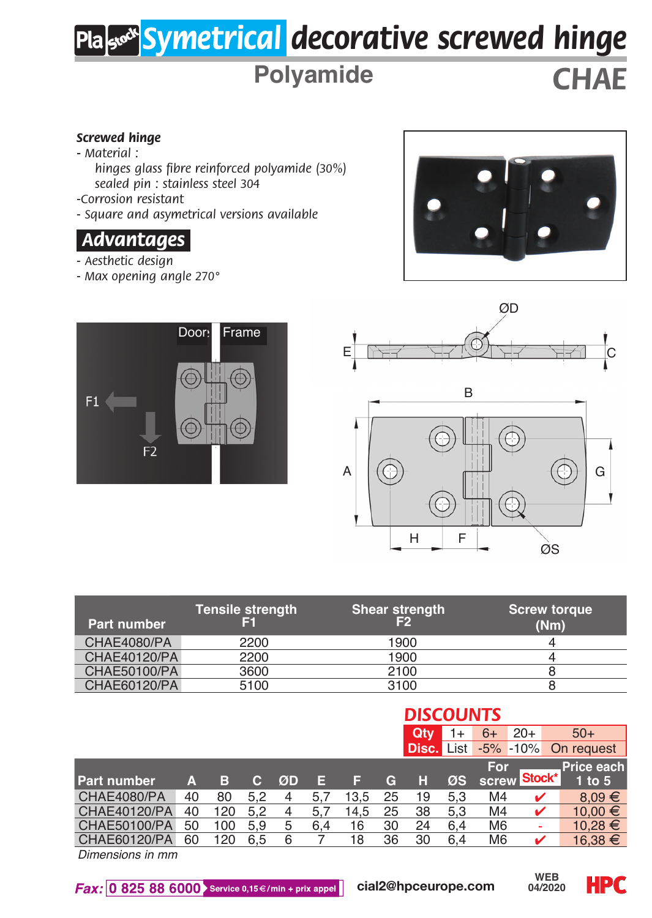# *Symetrical decorative screwed hinge*

## **Polyamide** *CHAE*

#### *Screwed hinge*

- *Material :*
	- *hinges glass fibre reinforced polyamide (30%) sealed pin : stainless steel 304*
- *-Corrosion resistant*
- *Square and asymetrical versions available*

### *.Advantages.*

- *Aesthetic design*
- *Max opening angle 270°*







| <b>Part number</b>  | <b>Tensile strength</b> | Shear strength<br>F2 | <b>Screw torque</b><br>(Nm) |
|---------------------|-------------------------|----------------------|-----------------------------|
| CHAE4080/PA         | 2200                    | 1900                 |                             |
| <b>CHAE40120/PA</b> | 2200                    | 1900                 |                             |
| CHAE50100/PA        | 3600                    | 2100                 |                             |
| CHAE60120/PA        | 5100                    | 3100                 |                             |

|    |     |           |    |     |      |    | <b>DISCOUNTS</b> |     |      |                   |                                                                                        |  |
|----|-----|-----------|----|-----|------|----|------------------|-----|------|-------------------|----------------------------------------------------------------------------------------|--|
|    |     |           |    |     |      |    | Qtv              | 1+  | $6+$ | $20+$             | $50+$                                                                                  |  |
|    |     |           |    |     |      |    |                  |     |      |                   | On request                                                                             |  |
|    |     |           |    |     |      |    |                  |     |      |                   | Price each                                                                             |  |
| A  | в   | <b>O7</b> | ØD | Е   |      | G  | н                | ØS  |      |                   | $1$ to $5$                                                                             |  |
| 40 | 80  | 5.2       |    | 5.7 | 13.5 | 25 | 19               | 5.3 |      |                   | $8.09 \in$                                                                             |  |
| 40 | 120 | 5.2       |    | 5.7 | 14.5 | 25 | 38               | 5.3 |      |                   | $10.00 \in$                                                                            |  |
| 50 | 100 | 5.9       | 5  | 6.4 | 16   | 30 | 24               | 6.4 |      |                   | $10.28 \in$                                                                            |  |
| 60 | 120 | 6.5       | 6  |     | 18   | 36 | 30               | 6.4 |      |                   | $16.38 \in$                                                                            |  |
|    |     |           |    |     |      |    |                  |     |      | <b>Disc.</b> List | $-5\% -10\%$<br>For<br>Stock*<br>screw<br>M4<br>M4<br>M <sub>6</sub><br>M <sub>6</sub> |  |

*Dimensions in mm*